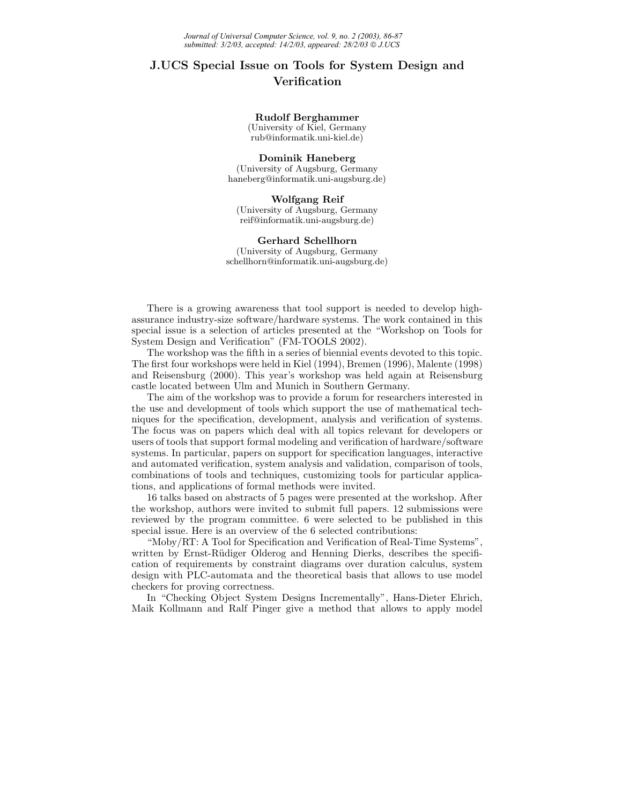## **J.UCS Special Issue on Tools for System Design and Verification**

## **Rudolf Berghammer**

(University of Kiel, Germany rub@informatik.uni-kiel.de)

**Dominik Haneberg** (University of Augsburg, Germany haneberg@informatik.uni-augsburg.de)

**Wolfgang Reif** (University of Augsburg, Germany reif@informatik.uni-augsburg.de)

**Gerhard Schellhorn** (University of Augsburg, Germany schellhorn@informatik.uni-augsburg.de)

There is a growing awareness that tool support is needed to develop highassurance industry-size software/hardware systems. The work contained in this special issue is a selection of articles presented at the "Workshop on Tools for System Design and Verification" (FM-TOOLS 2002).

The workshop was the fifth in a series of biennial events devoted to this topic. The first four workshops were held in Kiel (1994), Bremen (1996), Malente (1998) and Reisensburg (2000). This year's workshop was held again at Reisensburg castle located between Ulm and Munich in Southern Germany.

The aim of the workshop was to provide a forum for researchers interested in the use and development of tools which support the use of mathematical techniques for the specification, development, analysis and verification of systems. The focus was on papers which deal with all topics relevant for developers or users of tools that support formal modeling and verification of hardware/software systems. In particular, papers on support for specification languages, interactive and automated verification, system analysis and validation, comparison of tools, combinations of tools and techniques, customizing tools for particular applications, and applications of formal methods were invited.

16 talks based on abstracts of 5 pages were presented at the workshop. After the workshop, authors were invited to submit full papers. 12 submissions were reviewed by the program committee. 6 were selected to be published in this special issue. Here is an overview of the 6 selected contributions:

"Moby/RT: A Tool for Specification and Verification of Real-Time Systems", written by Ernst-Rüdiger Olderog and Henning Dierks, describes the specification of requirements by constraint diagrams over duration calculus, system design with PLC-automata and the theoretical basis that allows to use model checkers for proving correctness.

In "Checking Object System Designs Incrementally", Hans-Dieter Ehrich, Maik Kollmann and Ralf Pinger give a method that allows to apply model